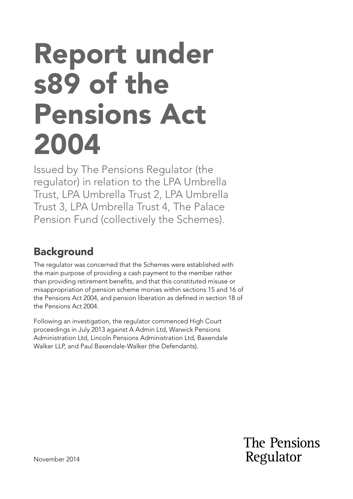# Report under s89 of the Pensions Act 2004

Issued by The Pensions Regulator (the regulator) in relation to the LPA Umbrella Trust, LPA Umbrella Trust 2, LPA Umbrella Trust 3, LPA Umbrella Trust 4, The Palace Pension Fund (collectively the Schemes).

# **Background**

The regulator was concerned that the Schemes were established with the main purpose of providing a cash payment to the member rather than providing retirement benefts, and that this constituted misuse or misappropriation of pension scheme monies within sections 15 and 16 of the Pensions Act 2004, and pension liberation as defned in section 18 of the Pensions Act 2004.

Following an investigation, the regulator commenced High Court proceedings in July 2013 against A Admin Ltd, Warwick Pensions Administration Ltd, Lincoln Pensions Administration Ltd, Baxendale Walker LLP, and Paul Baxendale-Walker (the Defendants).

> The Pensions Regulator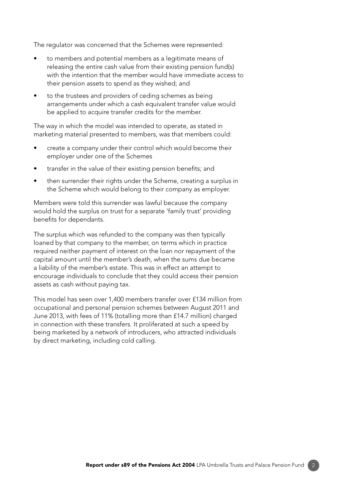The regulator was concerned that the Schemes were represented:

- to members and potential members as a legitimate means of releasing the entire cash value from their existing pension fund(s) with the intention that the member would have immediate access to their pension assets to spend as they wished; and
- to the trustees and providers of ceding schemes as being arrangements under which a cash equivalent transfer value would be applied to acquire transfer credits for the member.

The way in which the model was intended to operate, as stated in marketing material presented to members, was that members could:

- create a company under their control which would become their employer under one of the Schemes
- transfer in the value of their existing pension benefits; and
- then surrender their rights under the Scheme, creating a surplus in the Scheme which would belong to their company as employer.

Members were told this surrender was lawful because the company would hold the surplus on trust for a separate 'family trust' providing benefits for dependants.

The surplus which was refunded to the company was then typically loaned by that company to the member, on terms which in practice required neither payment of interest on the loan nor repayment of the capital amount until the member's death, when the sums due became a liability of the member's estate. This was in effect an attempt to encourage individuals to conclude that they could access their pension assets as cash without paying tax.

This model has seen over 1,400 members transfer over £134 million from occupational and personal pension schemes between August 2011 and June 2013, with fees of 11% (totalling more than £14.7 million) charged in connection with these transfers. It proliferated at such a speed by being marketed by a network of introducers, who attracted individuals by direct marketing, including cold calling.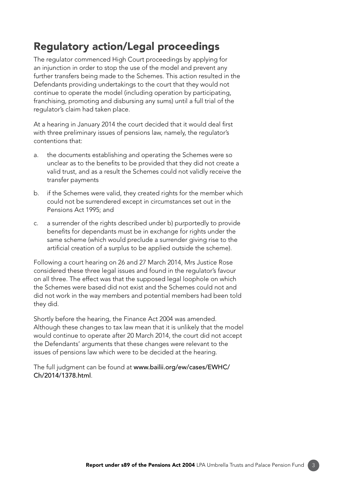## Regulatory action/Legal proceedings

The regulator commenced High Court proceedings by applying for an injunction in order to stop the use of the model and prevent any further transfers being made to the Schemes. This action resulted in the Defendants providing undertakings to the court that they would not continue to operate the model (including operation by participating, franchising, promoting and disbursing any sums) until a full trial of the regulator's claim had taken place.

At a hearing in January 2014 the court decided that it would deal first with three preliminary issues of pensions law, namely, the regulator's contentions that:

- a. the documents establishing and operating the Schemes were so unclear as to the benefits to be provided that they did not create a valid trust, and as a result the Schemes could not validly receive the transfer payments
- b. if the Schemes were valid, they created rights for the member which could not be surrendered except in circumstances set out in the Pensions Act 1995; and
- c. a surrender of the rights described under b) purportedly to provide benefits for dependants must be in exchange for rights under the same scheme (which would preclude a surrender giving rise to the artificial creation of a surplus to be applied outside the scheme).

Following a court hearing on 26 and 27 March 2014, Mrs Justice Rose considered these three legal issues and found in the regulator's favour on all three. The effect was that the supposed legal loophole on which the Schemes were based did not exist and the Schemes could not and did not work in the way members and potential members had been told they did.

Shortly before the hearing, the Finance Act 2004 was amended. Although these changes to tax law mean that it is unlikely that the model would continue to operate after 20 March 2014, the court did not accept the Defendants' arguments that these changes were relevant to the issues of pensions law which were to be decided at the hearing.

[The full judgment can be found at](http://www.bailii.org/ew/cases/EWHC/Ch/2014/1378.html) www.bailii.org/ew/cases/EWHC/ Ch/2014/1378.html.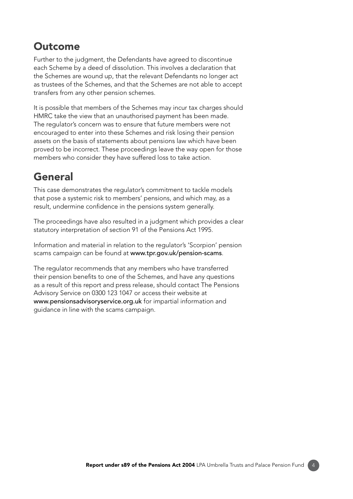### **Outcome**

Further to the judgment, the Defendants have agreed to discontinue each Scheme by a deed of dissolution. This involves a declaration that the Schemes are wound up, that the relevant Defendants no longer act as trustees of the Schemes, and that the Schemes are not able to accept transfers from any other pension schemes.

It is possible that members of the Schemes may incur tax charges should HMRC take the view that an unauthorised payment has been made. The regulator's concern was to ensure that future members were not encouraged to enter into these Schemes and risk losing their pension assets on the basis of statements about pensions law which have been proved to be incorrect. These proceedings leave the way open for those members who consider they have suffered loss to take action.

# General

This case demonstrates the regulator's commitment to tackle models that pose a systemic risk to members' pensions, and which may, as a result, undermine confidence in the pensions system generally.

The proceedings have also resulted in a judgment which provides a clear statutory interpretation of section 91 of the Pensions Act 1995.

Information and material in relation to the regulator's 'Scorpion' pension scams campaign can be found at www.tpr.gov.uk/pension-scams.

The regulator recommends that any members who have transferred their pension benefits to one of the Schemes, and have any questions as a result of this report and press release, should contact The Pensions Advisory Service on 0300 123 1047 or access their website at www.pensionsadvisoryservice.org.uk for impartial information and guidance in line with the scams campaign.